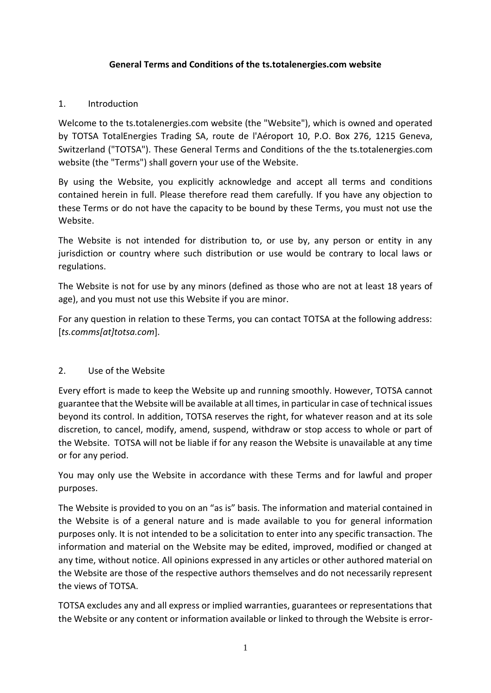#### **General Terms and Conditions of the ts.totalenergies.com website**

#### 1. Introduction

Welcome to the ts.totalenergies.com website (the "Website"), which is owned and operated by TOTSA TotalEnergies Trading SA, route de l'Aéroport 10, P.O. Box 276, 1215 Geneva, Switzerland ("TOTSA"). These General Terms and Conditions of the the ts.totalenergies.com website (the "Terms") shall govern your use of the Website.

By using the Website, you explicitly acknowledge and accept all terms and conditions contained herein in full. Please therefore read them carefully. If you have any objection to these Terms or do not have the capacity to be bound by these Terms, you must not use the Website.

The Website is not intended for distribution to, or use by, any person or entity in any jurisdiction or country where such distribution or use would be contrary to local laws or regulations.

The Website is not for use by any minors (defined as those who are not at least 18 years of age), and you must not use this Website if you are minor.

For any question in relation to these Terms, you can contact TOTSA at the following address: [*ts.comms[at]totsa.com*].

#### 2. Use of the Website

Every effort is made to keep the Website up and running smoothly. However, TOTSA cannot guarantee that the Website will be available at all times, in particular in case of technical issues beyond its control. In addition, TOTSA reserves the right, for whatever reason and at its sole discretion, to cancel, modify, amend, suspend, withdraw or stop access to whole or part of the Website. TOTSA will not be liable if for any reason the Website is unavailable at any time or for any period.

You may only use the Website in accordance with these Terms and for lawful and proper purposes.

The Website is provided to you on an "as is" basis. The information and material contained in the Website is of a general nature and is made available to you for general information purposes only. It is not intended to be a solicitation to enter into any specific transaction. The information and material on the Website may be edited, improved, modified or changed at any time, without notice. All opinions expressed in any articles or other authored material on the Website are those of the respective authors themselves and do not necessarily represent the views of TOTSA.

TOTSA excludes any and all express or implied warranties, guarantees or representations that the Website or any content or information available or linked to through the Website is error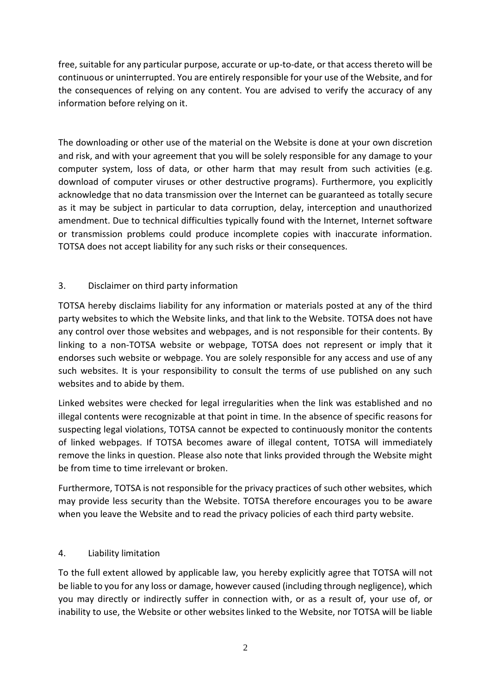free, suitable for any particular purpose, accurate or up-to-date, or that access thereto will be continuous or uninterrupted. You are entirely responsible for your use of the Website, and for the consequences of relying on any content. You are advised to verify the accuracy of any information before relying on it.

The downloading or other use of the material on the Website is done at your own discretion and risk, and with your agreement that you will be solely responsible for any damage to your computer system, loss of data, or other harm that may result from such activities (e.g. download of computer viruses or other destructive programs). Furthermore, you explicitly acknowledge that no data transmission over the Internet can be guaranteed as totally secure as it may be subject in particular to data corruption, delay, interception and unauthorized amendment. Due to technical difficulties typically found with the Internet, Internet software or transmission problems could produce incomplete copies with inaccurate information. TOTSA does not accept liability for any such risks or their consequences.

### 3. Disclaimer on third party information

TOTSA hereby disclaims liability for any information or materials posted at any of the third party websites to which the Website links, and that link to the Website. TOTSA does not have any control over those websites and webpages, and is not responsible for their contents. By linking to a non-TOTSA website or webpage, TOTSA does not represent or imply that it endorses such website or webpage. You are solely responsible for any access and use of any such websites. It is your responsibility to consult the terms of use published on any such websites and to abide by them.

Linked websites were checked for legal irregularities when the link was established and no illegal contents were recognizable at that point in time. In the absence of specific reasons for suspecting legal violations, TOTSA cannot be expected to continuously monitor the contents of linked webpages. If TOTSA becomes aware of illegal content, TOTSA will immediately remove the links in question. Please also note that links provided through the Website might be from time to time irrelevant or broken.

Furthermore, TOTSA is not responsible for the privacy practices of such other websites, which may provide less security than the Website. TOTSA therefore encourages you to be aware when you leave the Website and to read the privacy policies of each third party website.

#### 4. Liability limitation

To the full extent allowed by applicable law, you hereby explicitly agree that TOTSA will not be liable to you for any loss or damage, however caused (including through negligence), which you may directly or indirectly suffer in connection with, or as a result of, your use of, or inability to use, the Website or other websites linked to the Website, nor TOTSA will be liable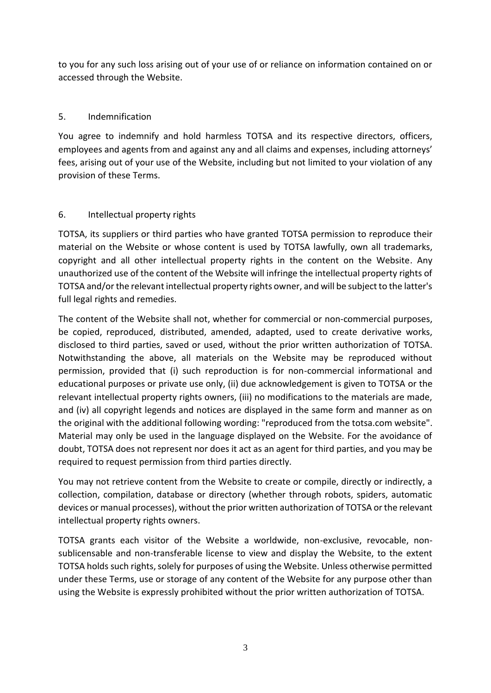to you for any such loss arising out of your use of or reliance on information contained on or accessed through the Website.

## 5. Indemnification

You agree to indemnify and hold harmless TOTSA and its respective directors, officers, employees and agents from and against any and all claims and expenses, including attorneys' fees, arising out of your use of the Website, including but not limited to your violation of any provision of these Terms.

### 6. Intellectual property rights

TOTSA, its suppliers or third parties who have granted TOTSA permission to reproduce their material on the Website or whose content is used by TOTSA lawfully, own all trademarks, copyright and all other intellectual property rights in the content on the Website. Any unauthorized use of the content of the Website will infringe the intellectual property rights of TOTSA and/or the relevant intellectual property rights owner, and will be subject to the latter's full legal rights and remedies.

The content of the Website shall not, whether for commercial or non-commercial purposes, be copied, reproduced, distributed, amended, adapted, used to create derivative works, disclosed to third parties, saved or used, without the prior written authorization of TOTSA. Notwithstanding the above, all materials on the Website may be reproduced without permission, provided that (i) such reproduction is for non-commercial informational and educational purposes or private use only, (ii) due acknowledgement is given to TOTSA or the relevant intellectual property rights owners, (iii) no modifications to the materials are made, and (iv) all copyright legends and notices are displayed in the same form and manner as on the original with the additional following wording: "reproduced from the totsa.com website". Material may only be used in the language displayed on the Website. For the avoidance of doubt, TOTSA does not represent nor does it act as an agent for third parties, and you may be required to request permission from third parties directly.

You may not retrieve content from the Website to create or compile, directly or indirectly, a collection, compilation, database or directory (whether through robots, spiders, automatic devices or manual processes), without the prior written authorization of TOTSA or the relevant intellectual property rights owners.

TOTSA grants each visitor of the Website a worldwide, non-exclusive, revocable, nonsublicensable and non-transferable license to view and display the Website, to the extent TOTSA holds such rights, solely for purposes of using the Website. Unless otherwise permitted under these Terms, use or storage of any content of the Website for any purpose other than using the Website is expressly prohibited without the prior written authorization of TOTSA.